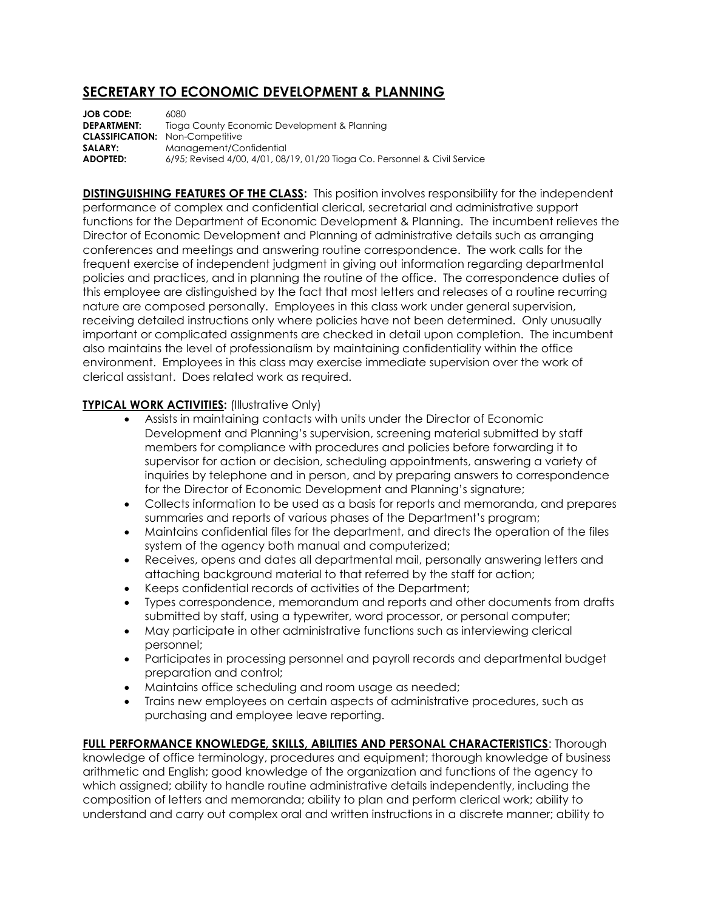## **SECRETARY TO ECONOMIC DEVELOPMENT & PLANNING**

**JOB CODE:** 6080<br>**DEPARTMENT:** Tiogo Tioga County Economic Development & Planning **CLASSIFICATION:** Non-Competitive **SALARY:** Management/Confidential **ADOPTED:** 6/95; Revised 4/00, 4/01, 08/19, 01/20 Tioga Co. Personnel & Civil Service

**DISTINGUISHING FEATURES OF THE CLASS:** This position involves responsibility for the independent performance of complex and confidential clerical, secretarial and administrative support functions for the Department of Economic Development & Planning. The incumbent relieves the Director of Economic Development and Planning of administrative details such as arranging conferences and meetings and answering routine correspondence. The work calls for the frequent exercise of independent judgment in giving out information regarding departmental policies and practices, and in planning the routine of the office. The correspondence duties of this employee are distinguished by the fact that most letters and releases of a routine recurring nature are composed personally. Employees in this class work under general supervision, receiving detailed instructions only where policies have not been determined. Only unusually important or complicated assignments are checked in detail upon completion. The incumbent also maintains the level of professionalism by maintaining confidentiality within the office environment. Employees in this class may exercise immediate supervision over the work of clerical assistant. Does related work as required.

## **TYPICAL WORK ACTIVITIES: (Illustrative Only)**

- Assists in maintaining contacts with units under the Director of Economic Development and Planning's supervision, screening material submitted by staff members for compliance with procedures and policies before forwarding it to supervisor for action or decision, scheduling appointments, answering a variety of inquiries by telephone and in person, and by preparing answers to correspondence for the Director of Economic Development and Planning's signature;
- Collects information to be used as a basis for reports and memoranda, and prepares summaries and reports of various phases of the Department's program;
- Maintains confidential files for the department, and directs the operation of the files system of the agency both manual and computerized;
- Receives, opens and dates all departmental mail, personally answering letters and attaching background material to that referred by the staff for action;
- Keeps confidential records of activities of the Department;
- Types correspondence, memorandum and reports and other documents from drafts submitted by staff, using a typewriter, word processor, or personal computer;
- May participate in other administrative functions such as interviewing clerical personnel;
- Participates in processing personnel and payroll records and departmental budget preparation and control;
- Maintains office scheduling and room usage as needed;
- Trains new employees on certain aspects of administrative procedures, such as purchasing and employee leave reporting.

**FULL PERFORMANCE KNOWLEDGE, SKILLS, ABILITIES AND PERSONAL CHARACTERISTICS**: Thorough knowledge of office terminology, procedures and equipment; thorough knowledge of business arithmetic and English; good knowledge of the organization and functions of the agency to which assigned; ability to handle routine administrative details independently, including the composition of letters and memoranda; ability to plan and perform clerical work; ability to understand and carry out complex oral and written instructions in a discrete manner; ability to